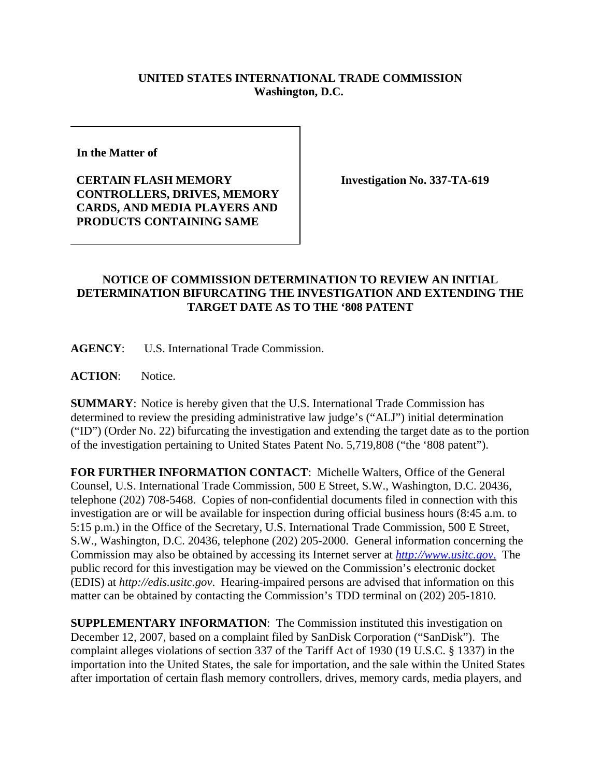## **UNITED STATES INTERNATIONAL TRADE COMMISSION Washington, D.C.**

**In the Matter of** 

**CERTAIN FLASH MEMORY CONTROLLERS, DRIVES, MEMORY CARDS, AND MEDIA PLAYERS AND PRODUCTS CONTAINING SAME**

**Investigation No. 337-TA-619**

## **NOTICE OF COMMISSION DETERMINATION TO REVIEW AN INITIAL DETERMINATION BIFURCATING THE INVESTIGATION AND EXTENDING THE TARGET DATE AS TO THE '808 PATENT**

**AGENCY**: U.S. International Trade Commission.

**ACTION**: Notice.

**SUMMARY**: Notice is hereby given that the U.S. International Trade Commission has determined to review the presiding administrative law judge's ("ALJ") initial determination ("ID") (Order No. 22) bifurcating the investigation and extending the target date as to the portion of the investigation pertaining to United States Patent No. 5,719,808 ("the '808 patent").

**FOR FURTHER INFORMATION CONTACT**: Michelle Walters, Office of the General Counsel, U.S. International Trade Commission, 500 E Street, S.W., Washington, D.C. 20436, telephone (202) 708-5468. Copies of non-confidential documents filed in connection with this investigation are or will be available for inspection during official business hours (8:45 a.m. to 5:15 p.m.) in the Office of the Secretary, U.S. International Trade Commission, 500 E Street, S.W., Washington, D.C. 20436, telephone (202) 205-2000. General information concerning the Commission may also be obtained by accessing its Internet server at *http://www.usitc.gov*. The public record for this investigation may be viewed on the Commission's electronic docket (EDIS) at *http://edis.usitc.gov*. Hearing-impaired persons are advised that information on this matter can be obtained by contacting the Commission's TDD terminal on (202) 205-1810.

**SUPPLEMENTARY INFORMATION**: The Commission instituted this investigation on December 12, 2007, based on a complaint filed by SanDisk Corporation ("SanDisk"). The complaint alleges violations of section 337 of the Tariff Act of 1930 (19 U.S.C. § 1337) in the importation into the United States, the sale for importation, and the sale within the United States after importation of certain flash memory controllers, drives, memory cards, media players, and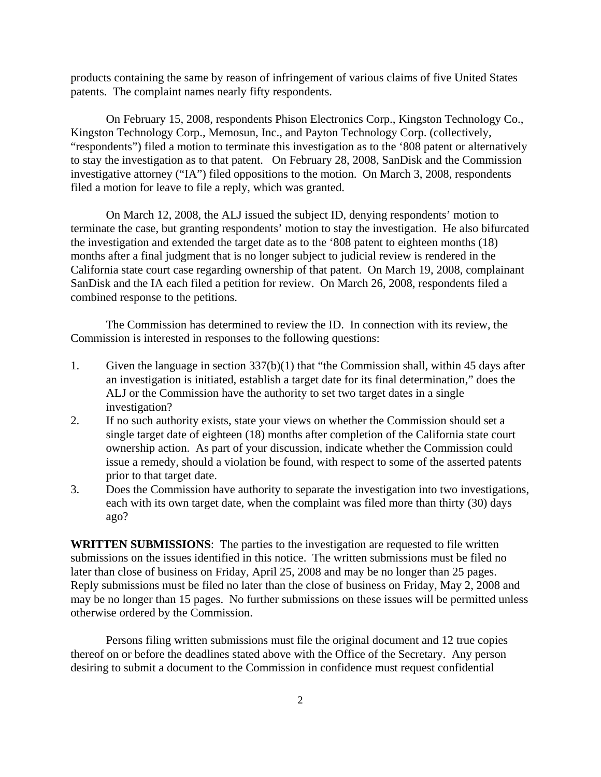products containing the same by reason of infringement of various claims of five United States patents. The complaint names nearly fifty respondents.

On February 15, 2008, respondents Phison Electronics Corp., Kingston Technology Co., Kingston Technology Corp., Memosun, Inc., and Payton Technology Corp. (collectively, "respondents") filed a motion to terminate this investigation as to the '808 patent or alternatively to stay the investigation as to that patent. On February 28, 2008, SanDisk and the Commission investigative attorney ("IA") filed oppositions to the motion. On March 3, 2008, respondents filed a motion for leave to file a reply, which was granted.

On March 12, 2008, the ALJ issued the subject ID, denying respondents' motion to terminate the case, but granting respondents' motion to stay the investigation. He also bifurcated the investigation and extended the target date as to the '808 patent to eighteen months (18) months after a final judgment that is no longer subject to judicial review is rendered in the California state court case regarding ownership of that patent. On March 19, 2008, complainant SanDisk and the IA each filed a petition for review. On March 26, 2008, respondents filed a combined response to the petitions.

The Commission has determined to review the ID. In connection with its review, the Commission is interested in responses to the following questions:

- 1. Given the language in section 337(b)(1) that "the Commission shall, within 45 days after an investigation is initiated, establish a target date for its final determination," does the ALJ or the Commission have the authority to set two target dates in a single investigation?
- 2. If no such authority exists, state your views on whether the Commission should set a single target date of eighteen (18) months after completion of the California state court ownership action. As part of your discussion, indicate whether the Commission could issue a remedy, should a violation be found, with respect to some of the asserted patents prior to that target date.
- 3. Does the Commission have authority to separate the investigation into two investigations, each with its own target date, when the complaint was filed more than thirty (30) days ago?

**WRITTEN SUBMISSIONS**:The parties to the investigation are requested to file written submissions on the issues identified in this notice. The written submissions must be filed no later than close of business on Friday, April 25, 2008 and may be no longer than 25 pages. Reply submissions must be filed no later than the close of business on Friday, May 2, 2008 and may be no longer than 15 pages. No further submissions on these issues will be permitted unless otherwise ordered by the Commission.

Persons filing written submissions must file the original document and 12 true copies thereof on or before the deadlines stated above with the Office of the Secretary. Any person desiring to submit a document to the Commission in confidence must request confidential